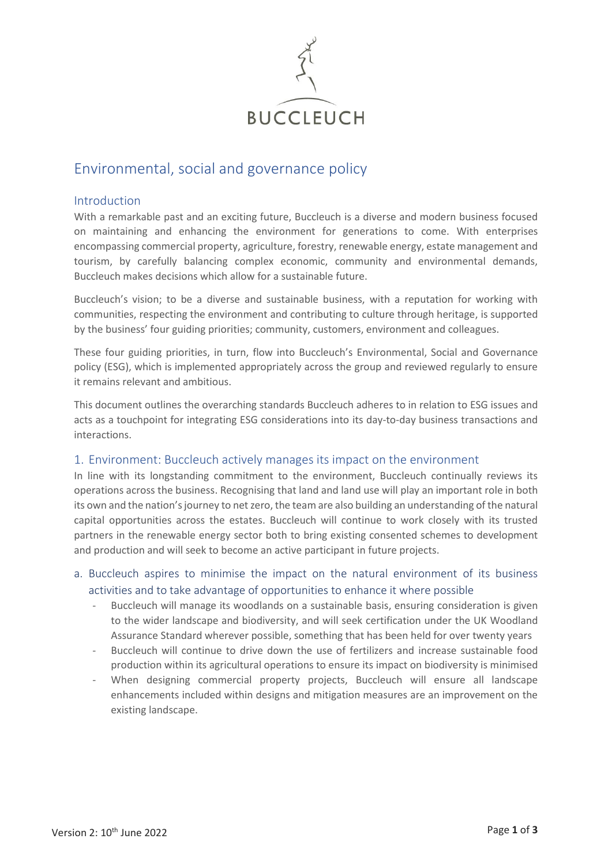

# Environmental, social and governance policy

## Introduction

With a remarkable past and an exciting future, Buccleuch is a diverse and modern business focused on maintaining and enhancing the environment for generations to come. With enterprises encompassing commercial property, agriculture, forestry, renewable energy, estate management and tourism, by carefully balancing complex economic, community and environmental demands, Buccleuch makes decisions which allow for a sustainable future.

Buccleuch's vision; to be a diverse and sustainable business, with a reputation for working with communities, respecting the environment and contributing to culture through heritage, is supported by the business' four guiding priorities; community, customers, environment and colleagues.

These four guiding priorities, in turn, flow into Buccleuch's Environmental, Social and Governance policy (ESG), which is implemented appropriately across the group and reviewed regularly to ensure it remains relevant and ambitious.

This document outlines the overarching standards Buccleuch adheres to in relation to ESG issues and acts as a touchpoint for integrating ESG considerations into its day-to-day business transactions and interactions.

## 1. Environment: Buccleuch actively manages its impact on the environment

In line with its longstanding commitment to the environment, Buccleuch continually reviews its operations across the business. Recognising that land and land use will play an important role in both its own and the nation's journey to net zero, the team are also building an understanding of the natural capital opportunities across the estates. Buccleuch will continue to work closely with its trusted partners in the renewable energy sector both to bring existing consented schemes to development and production and will seek to become an active participant in future projects.

# a. Buccleuch aspires to minimise the impact on the natural environment of its business activities and to take advantage of opportunities to enhance it where possible

- Buccleuch will manage its woodlands on a sustainable basis, ensuring consideration is given to the wider landscape and biodiversity, and will seek certification under the UK Woodland Assurance Standard wherever possible, something that has been held for over twenty years
- Buccleuch will continue to drive down the use of fertilizers and increase sustainable food production within its agricultural operations to ensure its impact on biodiversity is minimised
- When designing commercial property projects, Buccleuch will ensure all landscape enhancements included within designs and mitigation measures are an improvement on the existing landscape.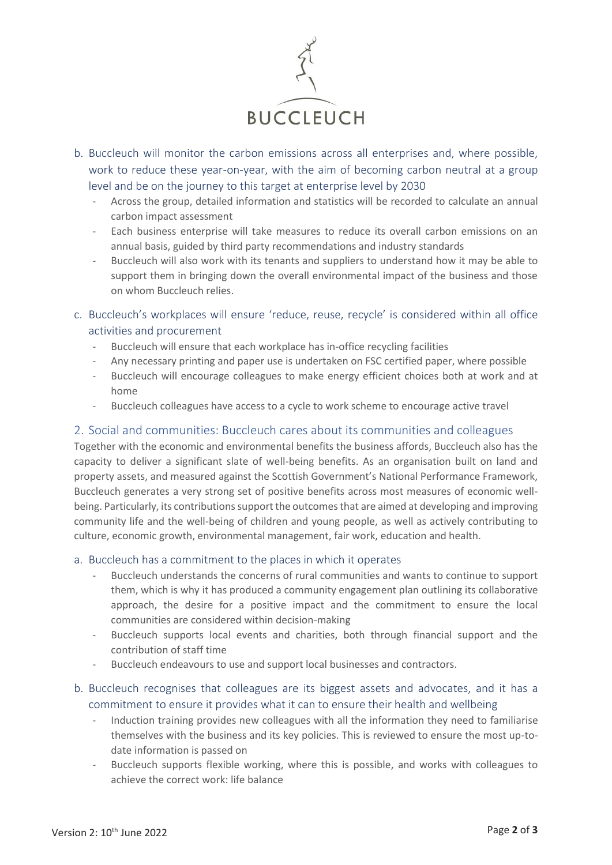

- b. Buccleuch will monitor the carbon emissions across all enterprises and, where possible, work to reduce these year-on-year, with the aim of becoming carbon neutral at a group level and be on the journey to this target at enterprise level by 2030
	- Across the group, detailed information and statistics will be recorded to calculate an annual carbon impact assessment
	- Each business enterprise will take measures to reduce its overall carbon emissions on an annual basis, guided by third party recommendations and industry standards
	- Buccleuch will also work with its tenants and suppliers to understand how it may be able to support them in bringing down the overall environmental impact of the business and those on whom Buccleuch relies.
- c. Buccleuch's workplaces will ensure 'reduce, reuse, recycle' is considered within all office activities and procurement
	- Buccleuch will ensure that each workplace has in-office recycling facilities
	- Any necessary printing and paper use is undertaken on FSC certified paper, where possible
	- Buccleuch will encourage colleagues to make energy efficient choices both at work and at home
	- Buccleuch colleagues have access to a cycle to work scheme to encourage active travel

# 2. Social and communities: Buccleuch cares about its communities and colleagues

Together with the economic and environmental benefits the business affords, Buccleuch also has the capacity to deliver a significant slate of well-being benefits. As an organisation built on land and property assets, and measured against the Scottish Government's National Performance Framework, Buccleuch generates a very strong set of positive benefits across most measures of economic wellbeing. Particularly, its contributions support the outcomes that are aimed at developing and improving community life and the well-being of children and young people, as well as actively contributing to culture, economic growth, environmental management, fair work, education and health.

#### a. Buccleuch has a commitment to the places in which it operates

- Buccleuch understands the concerns of rural communities and wants to continue to support them, which is why it has produced a community engagement plan outlining its collaborative approach, the desire for a positive impact and the commitment to ensure the local communities are considered within decision-making
- Buccleuch supports local events and charities, both through financial support and the contribution of staff time
- Buccleuch endeavours to use and support local businesses and contractors.
- b. Buccleuch recognises that colleagues are its biggest assets and advocates, and it has a commitment to ensure it provides what it can to ensure their health and wellbeing
	- Induction training provides new colleagues with all the information they need to familiarise themselves with the business and its key policies. This is reviewed to ensure the most up-todate information is passed on
	- Buccleuch supports flexible working, where this is possible, and works with colleagues to achieve the correct work: life balance